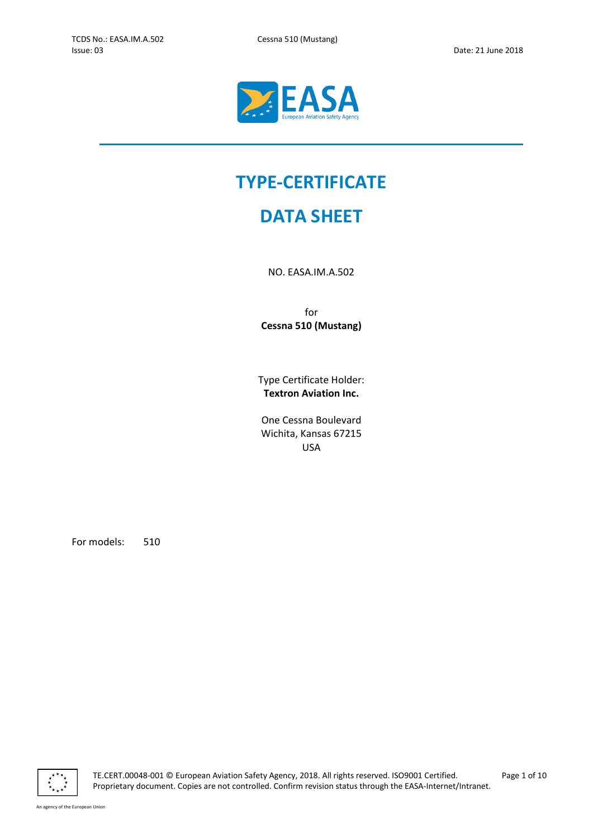L



# TYPE-CERTIFICATE

# DATA SHEET

NO. EASA.IM.A.502

for Cessna 510 (Mustang)

Type Certificate Holder: Textron Aviation Inc.

One Cessna Boulevard Wichita, Kansas 67215 USA

For models: 510



TE.CERT.00048-001 © European Aviation Safety Agency, 2018. All rights reserved. ISO9001 Certified. Page 1 of 10 Proprietary document. Copies are not controlled. Confirm revision status through the EASA-Internet/Intranet.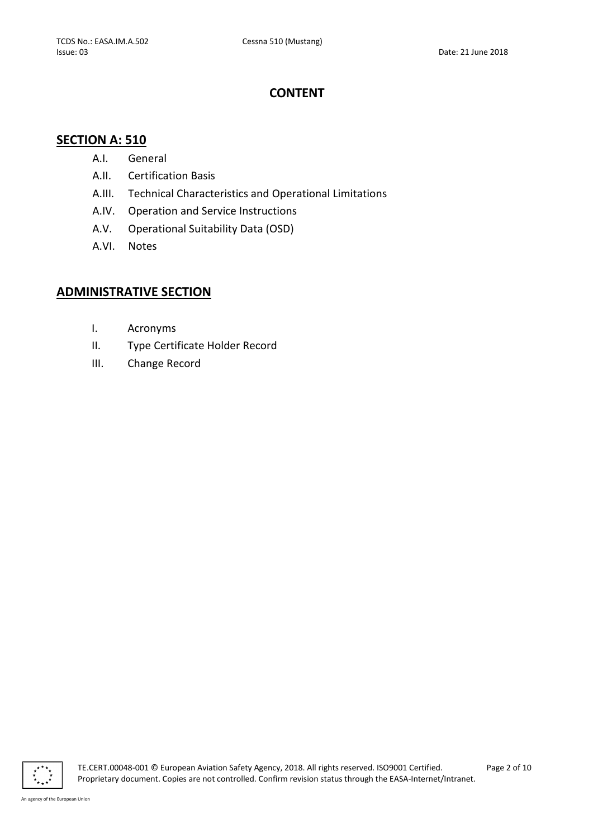# CONTENT

# SECTION A: 510

- A.I. General
- A.II. Certification Basis
- A.III. Technical Characteristics and Operational Limitations
- A.IV. Operation and Service Instructions
- A.V. Operational Suitability Data (OSD)
- A.VI. Notes

# ADMINISTRATIVE SECTION

- I. Acronyms
- II. Type Certificate Holder Record
- III. Change Record



TE.CERT.00048-001 © European Aviation Safety Agency, 2018. All rights reserved. ISO9001 Certified. Page 2 of 10 Proprietary document. Copies are not controlled. Confirm revision status through the EASA-Internet/Intranet.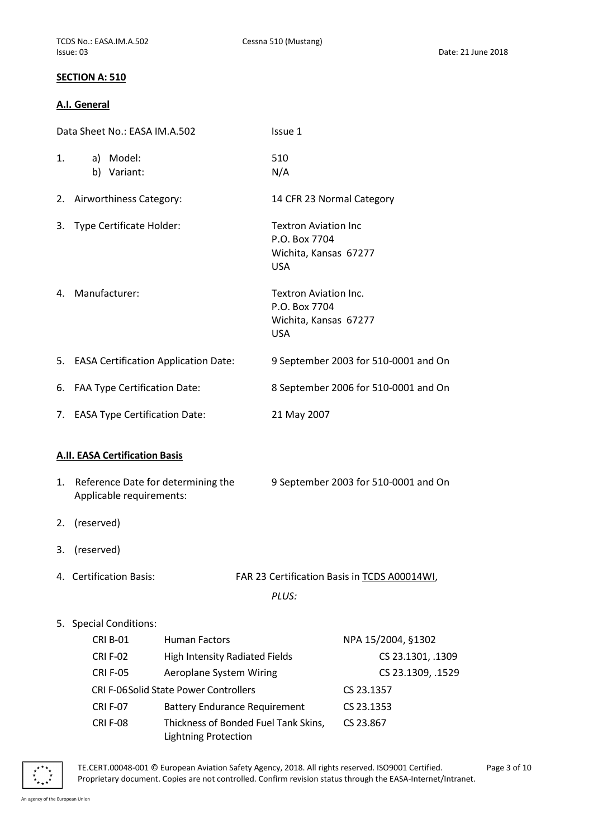#### SECTION A: 510

#### A.I. General

| Data Sheet No.: EASA IM.A.502 |                                         | Issue 1                                      |                              |                                              |
|-------------------------------|-----------------------------------------|----------------------------------------------|------------------------------|----------------------------------------------|
| 1.                            | a) Model:                               |                                              | 510                          |                                              |
|                               | b) Variant:                             |                                              | N/A                          |                                              |
| 2.                            | Airworthiness Category:                 |                                              | 14 CFR 23 Normal Category    |                                              |
| 3.                            | Type Certificate Holder:                |                                              | <b>Textron Aviation Inc</b>  |                                              |
|                               |                                         |                                              | P.O. Box 7704                |                                              |
|                               |                                         |                                              | Wichita, Kansas 67277        |                                              |
|                               |                                         |                                              | <b>USA</b>                   |                                              |
|                               | 4. Manufacturer:                        |                                              | <b>Textron Aviation Inc.</b> |                                              |
|                               |                                         |                                              | P.O. Box 7704                |                                              |
|                               |                                         |                                              | Wichita, Kansas 67277        |                                              |
|                               |                                         |                                              | <b>USA</b>                   |                                              |
|                               | 5. EASA Certification Application Date: |                                              |                              | 9 September 2003 for 510-0001 and On         |
| 6.                            | <b>FAA Type Certification Date:</b>     |                                              |                              | 8 September 2006 for 510-0001 and On         |
| 7.                            | <b>EASA Type Certification Date:</b>    |                                              | 21 May 2007                  |                                              |
|                               |                                         |                                              |                              |                                              |
|                               |                                         |                                              |                              |                                              |
|                               | <b>A.II. EASA Certification Basis</b>   |                                              |                              |                                              |
| 1.                            | Reference Date for determining the      |                                              |                              | 9 September 2003 for 510-0001 and On         |
|                               | Applicable requirements:                |                                              |                              |                                              |
|                               |                                         |                                              |                              |                                              |
| 2.                            | (reserved)                              |                                              |                              |                                              |
| 3.                            | (reserved)                              |                                              |                              |                                              |
|                               | 4. Certification Basis:                 |                                              |                              | FAR 23 Certification Basis in TCDS A00014WI, |
|                               |                                         |                                              | PLUS:                        |                                              |
|                               |                                         |                                              |                              |                                              |
| 5.                            | <b>Special Conditions:</b>              |                                              |                              |                                              |
|                               | <b>CRI B-01</b>                         | <b>Human Factors</b>                         |                              | NPA 15/2004, §1302                           |
|                               | <b>CRI F-02</b>                         | <b>High Intensity Radiated Fields</b>        |                              | CS 23.1301, .1309                            |
|                               | <b>CRI F-05</b>                         | <b>Aeroplane System Wiring</b>               |                              | CS 23.1309, .1529                            |
|                               |                                         | <b>CRI F-06Solid State Power Controllers</b> |                              | CS 23.1357                                   |
|                               | <b>CRI F-07</b>                         | <b>Battery Endurance Requirement</b>         |                              | CS 23.1353                                   |
|                               | <b>CRI F-08</b>                         | Thickness of Bonded Fuel Tank Skins,         |                              | CS 23.867                                    |

Lightning Protection



TE.CERT.00048-001 © European Aviation Safety Agency, 2018. All rights reserved. ISO9001 Certified. Page 3 of 10 Proprietary document. Copies are not controlled. Confirm revision status through the EASA-Internet/Intranet.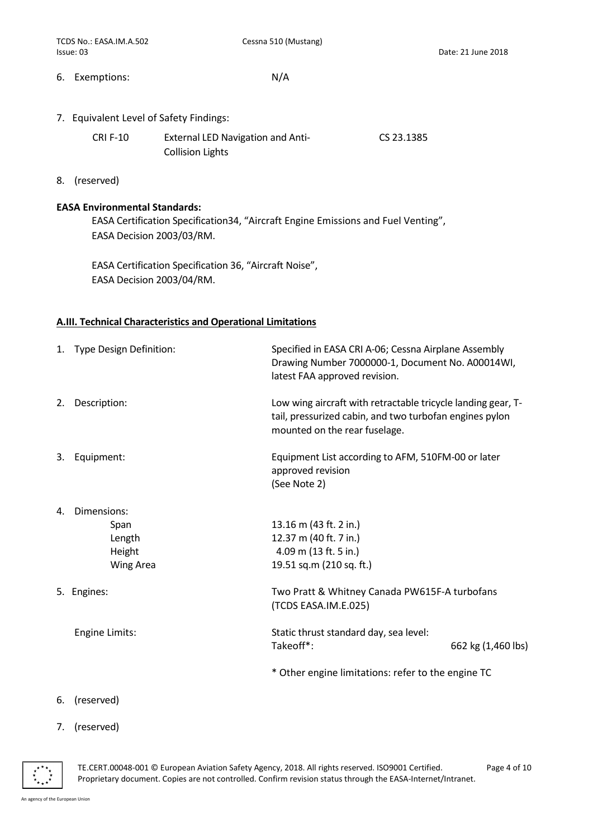6. Exemptions: N/A

7. Equivalent Level of Safety Findings:

| <b>CRI F-10</b> | <b>External LED Navigation and Anti-</b> | CS 23.1385 |
|-----------------|------------------------------------------|------------|
|                 | <b>Collision Lights</b>                  |            |

8. (reserved)

#### EASA Environmental Standards:

EASA Certification Specification34, "Aircraft Engine Emissions and Fuel Venting", EASA Decision 2003/03/RM.

EASA Certification Specification 36, "Aircraft Noise", EASA Decision 2003/04/RM.

#### A.III. Technical Characteristics and Operational Limitations

|    | 1. Type Design Definition:                                  | Specified in EASA CRI A-06; Cessna Airplane Assembly<br>Drawing Number 7000000-1, Document No. A00014WI,<br>latest FAA approved revision.                |                    |
|----|-------------------------------------------------------------|----------------------------------------------------------------------------------------------------------------------------------------------------------|--------------------|
| 2. | Description:                                                | Low wing aircraft with retractable tricycle landing gear, T-<br>tail, pressurized cabin, and two turbofan engines pylon<br>mounted on the rear fuselage. |                    |
| 3. | Equipment:                                                  | Equipment List according to AFM, 510FM-00 or later<br>approved revision<br>(See Note 2)                                                                  |                    |
| 4. | Dimensions:<br>Span<br>Length<br>Height<br><b>Wing Area</b> | 13.16 m (43 ft. 2 in.)<br>12.37 m (40 ft. 7 in.)<br>4.09 m (13 ft. 5 in.)<br>19.51 sq.m (210 sq. ft.)                                                    |                    |
|    | 5. Engines:                                                 | Two Pratt & Whitney Canada PW615F-A turbofans<br>(TCDS EASA.IM.E.025)                                                                                    |                    |
|    | Engine Limits:                                              | Static thrust standard day, sea level:<br>Takeoff*:                                                                                                      | 662 kg (1,460 lbs) |
|    |                                                             | * Other engine limitations: refer to the engine TC                                                                                                       |                    |

- 6. (reserved)
- 7. (reserved)

 $\mathbf{r}$ 

TE.CERT.00048-001 © European Aviation Safety Agency, 2018. All rights reserved. ISO9001 Certified. Page 4 of 10 Proprietary document. Copies are not controlled. Confirm revision status through the EASA-Internet/Intranet.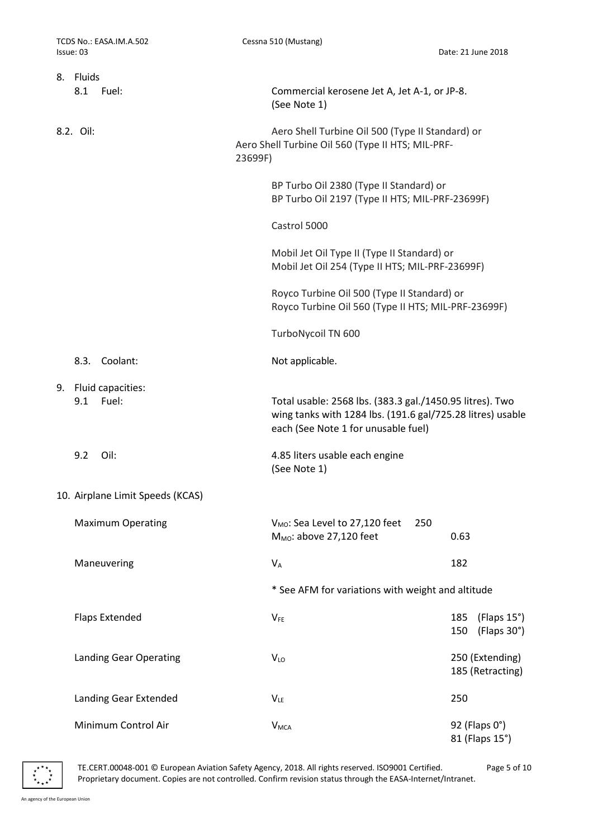| 8. Fluids                            |         |                                                                                                                                                               |                                          |
|--------------------------------------|---------|---------------------------------------------------------------------------------------------------------------------------------------------------------------|------------------------------------------|
| 8.1<br>Fuel:                         |         | Commercial kerosene Jet A, Jet A-1, or JP-8.<br>(See Note 1)                                                                                                  |                                          |
| 8.2. Oil:                            | 23699F) | Aero Shell Turbine Oil 500 (Type II Standard) or<br>Aero Shell Turbine Oil 560 (Type II HTS; MIL-PRF-                                                         |                                          |
|                                      |         | BP Turbo Oil 2380 (Type II Standard) or<br>BP Turbo Oil 2197 (Type II HTS; MIL-PRF-23699F)                                                                    |                                          |
|                                      |         | Castrol 5000                                                                                                                                                  |                                          |
|                                      |         | Mobil Jet Oil Type II (Type II Standard) or<br>Mobil Jet Oil 254 (Type II HTS; MIL-PRF-23699F)                                                                |                                          |
|                                      |         | Royco Turbine Oil 500 (Type II Standard) or<br>Royco Turbine Oil 560 (Type II HTS; MIL-PRF-23699F)                                                            |                                          |
|                                      |         | TurboNycoil TN 600                                                                                                                                            |                                          |
| 8.3. Coolant:                        |         | Not applicable.                                                                                                                                               |                                          |
| 9. Fluid capacities:<br>9.1<br>Fuel: |         | Total usable: 2568 lbs. (383.3 gal./1450.95 litres). Two<br>wing tanks with 1284 lbs. (191.6 gal/725.28 litres) usable<br>each (See Note 1 for unusable fuel) |                                          |
| 9.2<br>Oil:                          |         | 4.85 liters usable each engine<br>(See Note 1)                                                                                                                |                                          |
| 10. Airplane Limit Speeds (KCAS)     |         |                                                                                                                                                               |                                          |
| <b>Maximum Operating</b>             |         | V <sub>MO</sub> : Sea Level to 27,120 feet<br>250<br>$M_{MO}$ : above 27,120 feet                                                                             | 0.63                                     |
| Maneuvering                          |         | $V_A$                                                                                                                                                         | 182                                      |
|                                      |         | * See AFM for variations with weight and altitude                                                                                                             |                                          |
| <b>Flaps Extended</b>                |         | $V_{FE}$                                                                                                                                                      | 185<br>(Flaps 15°)<br>150<br>(Flaps 30°) |
| <b>Landing Gear Operating</b>        |         | <b>VLO</b>                                                                                                                                                    | 250 (Extending)<br>185 (Retracting)      |
| Landing Gear Extended                |         | $V_{LE}$                                                                                                                                                      | 250                                      |
| Minimum Control Air                  |         | <b>V</b> <sub>MCA</sub>                                                                                                                                       | 92 (Flaps 0°)<br>81 (Flaps 15°)          |

TE.CERT.00048-001 © European Aviation Safety Agency, 2018. All rights reserved. ISO9001 Certified. Page 5 of 10 Proprietary document. Copies are not controlled. Confirm revision status through the EASA-Internet/Intranet.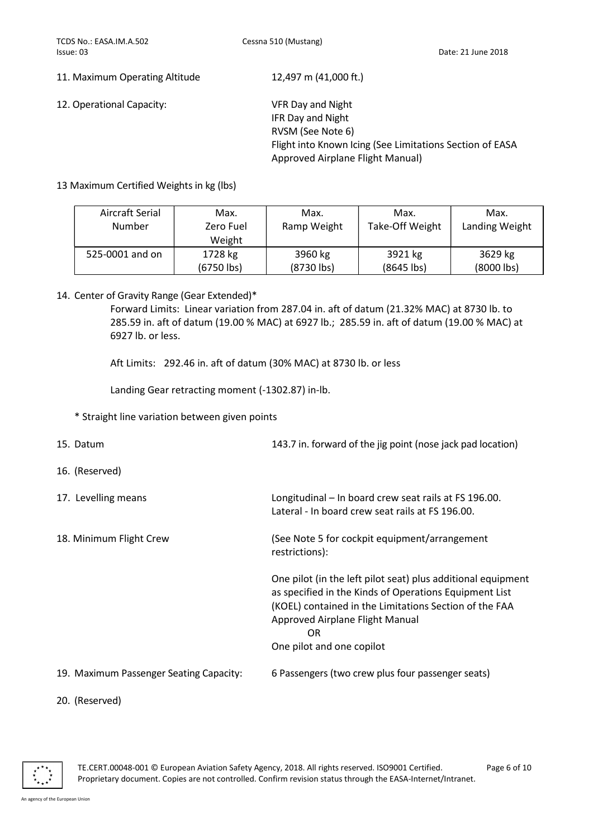11. Maximum Operating Altitude 12,497 m (41,000 ft.)

12. Operational Capacity: VFR Day and Night

 IFR Day and Night RVSM (See Note 6) Flight into Known Icing (See Limitations Section of EASA Approved Airplane Flight Manual)

#### 13 Maximum Certified Weights in kg (lbs)

| Aircraft Serial | Max.         | Max.         | Max.            | Max.           |
|-----------------|--------------|--------------|-----------------|----------------|
| Number          | Zero Fuel    | Ramp Weight  | Take-Off Weight | Landing Weight |
|                 | Weight       |              |                 |                |
| 525-0001 and on | 1728 kg      | 3960 kg      | 3921 kg         | 3629 kg        |
|                 | $(6750$ lbs) | $(8730$ lbs) | $(8645$ lbs)    | (8000 lbs)     |

14. Center of Gravity Range (Gear Extended)\*

Forward Limits: Linear variation from 287.04 in. aft of datum (21.32% MAC) at 8730 lb. to 285.59 in. aft of datum (19.00 % MAC) at 6927 lb.; 285.59 in. aft of datum (19.00 % MAC) at 6927 lb. or less.

Aft Limits: 292.46 in. aft of datum (30% MAC) at 8730 lb. or less

Landing Gear retracting moment (-1302.87) in-lb.

\* Straight line variation between given points

| 15. Datum                               | 143.7 in. forward of the jig point (nose jack pad location)                                                                                                                                                                                            |
|-----------------------------------------|--------------------------------------------------------------------------------------------------------------------------------------------------------------------------------------------------------------------------------------------------------|
| 16. (Reserved)                          |                                                                                                                                                                                                                                                        |
| 17. Levelling means                     | Longitudinal – In board crew seat rails at FS 196.00.<br>Lateral - In board crew seat rails at FS 196.00.                                                                                                                                              |
| 18. Minimum Flight Crew                 | (See Note 5 for cockpit equipment/arrangement<br>restrictions):                                                                                                                                                                                        |
|                                         | One pilot (in the left pilot seat) plus additional equipment<br>as specified in the Kinds of Operations Equipment List<br>(KOEL) contained in the Limitations Section of the FAA<br>Approved Airplane Flight Manual<br>OR<br>One pilot and one copilot |
| 19. Maximum Passenger Seating Capacity: | 6 Passengers (two crew plus four passenger seats)                                                                                                                                                                                                      |

20. (Reserved)

TE.CERT.00048-001 © European Aviation Safety Agency, 2018. All rights reserved. ISO9001 Certified. Page 6 of 10 Proprietary document. Copies are not controlled. Confirm revision status through the EASA-Internet/Intranet.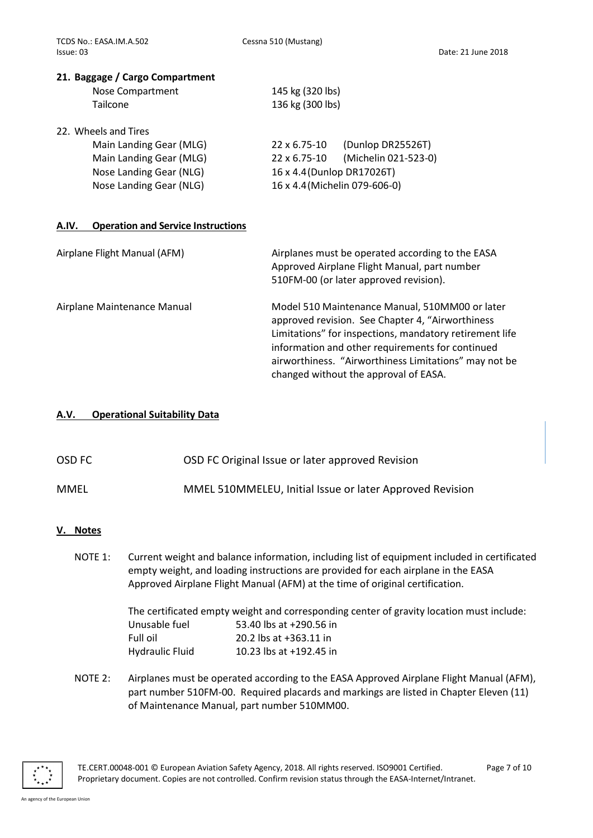#### 21. Baggage / Cargo Compartment

| Nose Compartment | 145 kg (320 lbs) |
|------------------|------------------|
| Tailcone         | 136 kg (300 lbs) |

22. Wheels and Tires

| (Dunlop DR25526T)<br>$22 \times 6.75 - 10$    |
|-----------------------------------------------|
| (Michelin 021-523-0)<br>$22 \times 6.75 - 10$ |
| 16 x 4.4 (Dunlop DR17026T)                    |
| 16 x 4.4 (Michelin 079-606-0)                 |
|                                               |

#### A.IV. Operation and Service Instructions

| Airplane Flight Manual (AFM) | Airplanes must be operated according to the EASA<br>Approved Airplane Flight Manual, part number<br>510FM-00 (or later approved revision).                                                                                                                                                                           |
|------------------------------|----------------------------------------------------------------------------------------------------------------------------------------------------------------------------------------------------------------------------------------------------------------------------------------------------------------------|
| Airplane Maintenance Manual  | Model 510 Maintenance Manual, 510MM00 or later<br>approved revision. See Chapter 4, "Airworthiness"<br>Limitations" for inspections, mandatory retirement life<br>information and other requirements for continued<br>airworthiness. "Airworthiness Limitations" may not be<br>changed without the approval of EASA. |

#### A.V. Operational Suitability Data

| OSD FC | OSD FC Original Issue or later approved Revision |
|--------|--------------------------------------------------|
|--------|--------------------------------------------------|

| <b>MMEL</b> | MMEL 510MMELEU, Initial Issue or later Approved Revision |
|-------------|----------------------------------------------------------|
|-------------|----------------------------------------------------------|

#### V. Notes

NOTE 1: Current weight and balance information, including list of equipment included in certificated empty weight, and loading instructions are provided for each airplane in the EASA Approved Airplane Flight Manual (AFM) at the time of original certification.

> The certificated empty weight and corresponding center of gravity location must include: Unusable fuel 53.40 lbs at +290.56 in Full oil 20.2 lbs at +363.11 in Hydraulic Fluid 10.23 lbs at +192.45 in

NOTE 2: Airplanes must be operated according to the EASA Approved Airplane Flight Manual (AFM), part number 510FM-00. Required placards and markings are listed in Chapter Eleven (11) of Maintenance Manual, part number 510MM00.

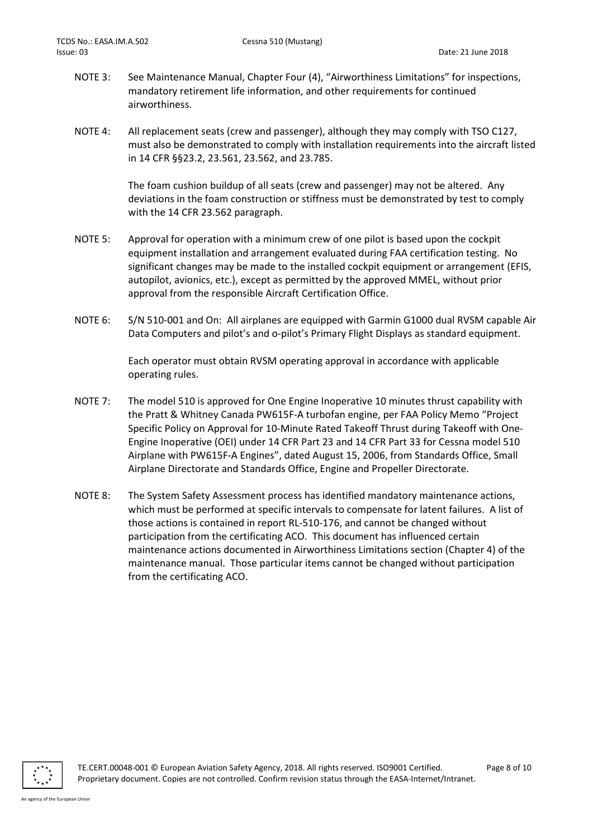- NOTE 3: See Maintenance Manual, Chapter Four (4), "Airworthiness Limitations" for inspections, mandatory retirement life information, and other requirements for continued airworthiness.
- NOTE 4: All replacement seats (crew and passenger), although they may comply with TSO C127, must also be demonstrated to comply with installation requirements into the aircraft listed in 14 CFR §§23.2, 23.561, 23.562, and 23.785.

 The foam cushion buildup of all seats (crew and passenger) may not be altered. Any deviations in the foam construction or stiffness must be demonstrated by test to comply with the 14 CFR 23.562 paragraph.

- NOTE 5: Approval for operation with a minimum crew of one pilot is based upon the cockpit equipment installation and arrangement evaluated during FAA certification testing. No significant changes may be made to the installed cockpit equipment or arrangement (EFIS, autopilot, avionics, etc.), except as permitted by the approved MMEL, without prior approval from the responsible Aircraft Certification Office.
- NOTE 6: S/N 510-001 and On: All airplanes are equipped with Garmin G1000 dual RVSM capable Air Data Computers and pilot's and o-pilot's Primary Flight Displays as standard equipment.

 Each operator must obtain RVSM operating approval in accordance with applicable operating rules.

- NOTE 7: The model 510 is approved for One Engine Inoperative 10 minutes thrust capability with the Pratt & Whitney Canada PW615F-A turbofan engine, per FAA Policy Memo "Project Specific Policy on Approval for 10-Minute Rated Takeoff Thrust during Takeoff with One-Engine Inoperative (OEI) under 14 CFR Part 23 and 14 CFR Part 33 for Cessna model 510 Airplane with PW615F-A Engines", dated August 15, 2006, from Standards Office, Small Airplane Directorate and Standards Office, Engine and Propeller Directorate.
- NOTE 8: The System Safety Assessment process has identified mandatory maintenance actions, which must be performed at specific intervals to compensate for latent failures. A list of those actions is contained in report RL-510-176, and cannot be changed without participation from the certificating ACO. This document has influenced certain maintenance actions documented in Airworthiness Limitations section (Chapter 4) of the maintenance manual. Those particular items cannot be changed without participation from the certificating ACO.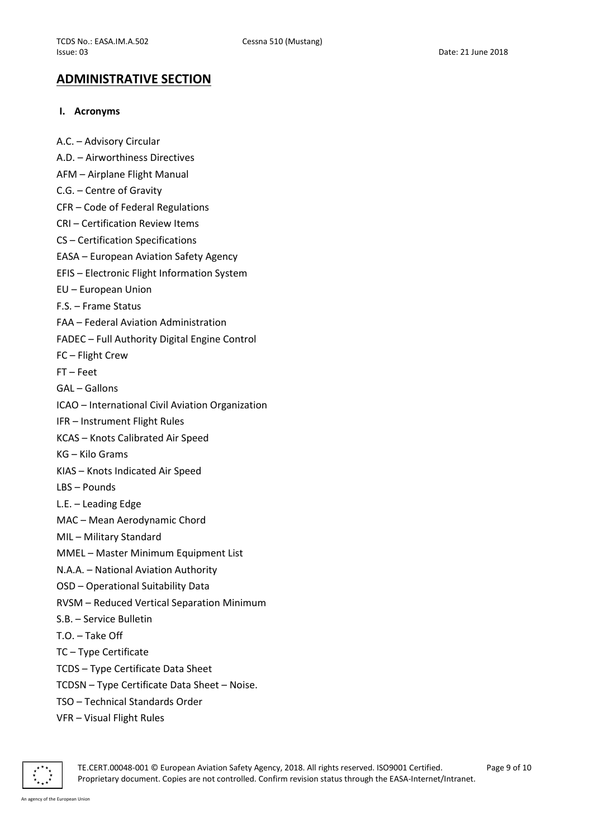### ADMINISTRATIVE SECTION

#### I. Acronyms

A.C. – Advisory Circular A.D. – Airworthiness Directives AFM – Airplane Flight Manual C.G. – Centre of Gravity CFR – Code of Federal Regulations CRI – Certification Review Items CS – Certification Specifications EASA – European Aviation Safety Agency EFIS – Electronic Flight Information System EU – European Union F.S. – Frame Status FAA – Federal Aviation Administration FADEC – Full Authority Digital Engine Control FC – Flight Crew FT – Feet GAL – Gallons ICAO – International Civil Aviation Organization IFR – Instrument Flight Rules KCAS – Knots Calibrated Air Speed KG – Kilo Grams KIAS – Knots Indicated Air Speed LBS – Pounds L.E. – Leading Edge MAC – Mean Aerodynamic Chord MIL – Military Standard MMEL – Master Minimum Equipment List N.A.A. – National Aviation Authority OSD – Operational Suitability Data RVSM – Reduced Vertical Separation Minimum S.B. – Service Bulletin T.O. – Take Off TC – Type Certificate TCDS – Type Certificate Data Sheet TCDSN – Type Certificate Data Sheet – Noise. TSO – Technical Standards Order VFR – Visual Flight Rules

TE.CERT.00048-001 © European Aviation Safety Agency, 2018. All rights reserved. ISO9001 Certified. Page 9 of 10 Proprietary document. Copies are not controlled. Confirm revision status through the EASA-Internet/Intranet.